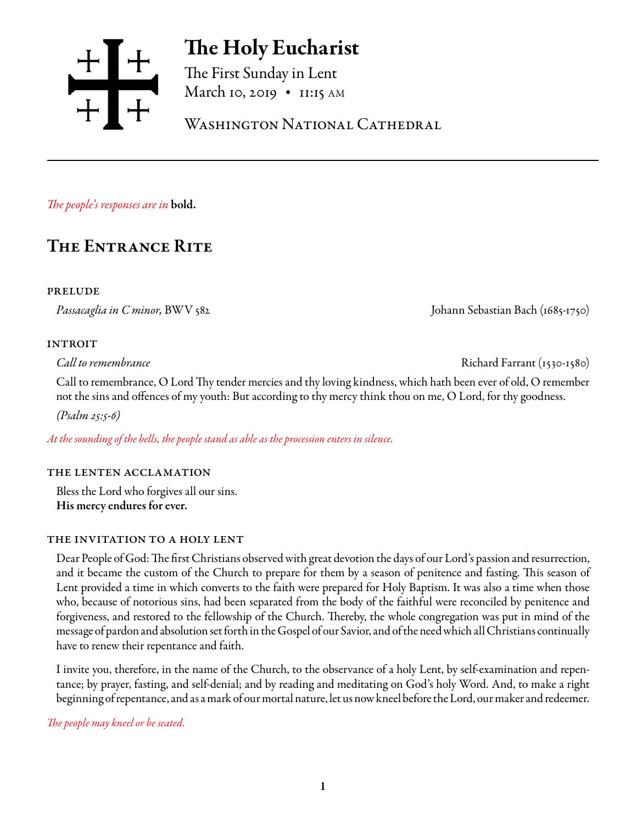

# The Holy Eucharist

The First Sunday in Lent March 10, 2019 • 11:15 AM

Washington National Cathedral

*The people's responses are in* bold.

## The Entrance Rite

### prelude

*Passacaglia in C minor,* BWV 582 Johann Sebastian Bach (1685-1750)

### **INTROIT**

*Call to remembrance* Richard Farrant (1530-1580)

Call to remembrance, O Lord Thy tender mercies and thy loving kindness, which hath been ever of old, O remember not the sins and offences of my youth: But according to thy mercy think thou on me, O Lord, for thy goodness.

*(Psalm 25:5-6)*

*At the sounding of the bells, the people stand as able as the procession enters in silence.* 

### the lenten acclamation

Bless the Lord who forgives all our sins. His mercy endures for ever.

### the invitation to a holy lent

Dear People of God: The first Christians observed with great devotion the days of our Lord's passion and resurrection, and it became the custom of the Church to prepare for them by a season of penitence and fasting. This season of Lent provided a time in which converts to the faith were prepared for Holy Baptism. It was also a time when those who, because of notorious sins, had been separated from the body of the faithful were reconciled by penitence and forgiveness, and restored to the fellowship of the Church. Thereby, the whole congregation was put in mind of the message of pardon and absolution set forth in the Gospel of our Savior, and of the need which all Christians continually have to renew their repentance and faith.

I invite you, therefore, in the name of the Church, to the observance of a holy Lent, by self-examination and repentance; by prayer, fasting, and self-denial; and by reading and meditating on God's holy Word. And, to make a right beginning of repentance, and as a mark of our mortal nature, let us now kneel before the Lord, our maker and redeemer.

*The people may kneel or be seated.*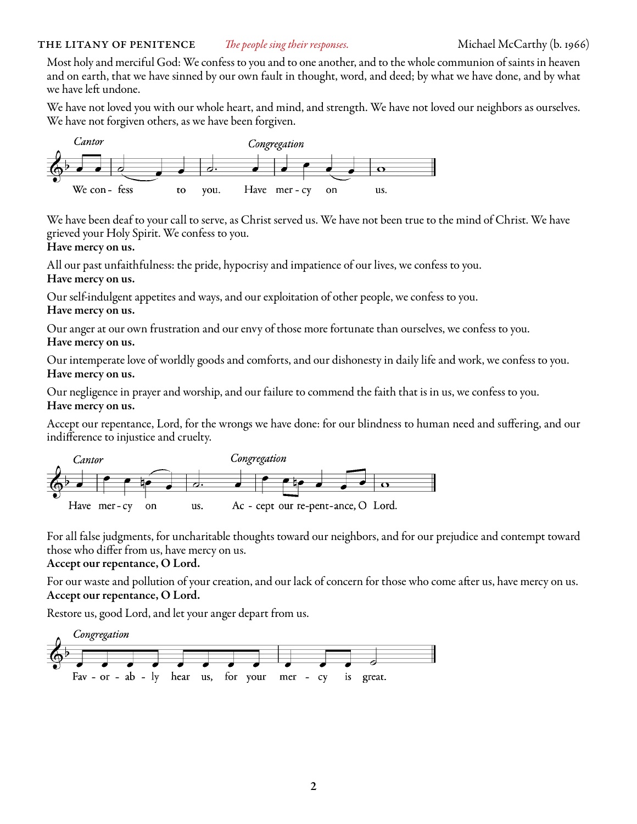Most holy and merciful God: We confess to you and to one another, and to the whole communion of saints in heaven and on earth, that we have sinned by our own fault in thought, word, and deed; by what we have done, and by what we have left undone.

We have not loved you with our whole heart, and mind, and strength. We have not loved our neighbors as ourselves. We have not forgiven others, as we have been forgiven.



We have been deaf to your call to serve, as Christ served us. We have not been true to the mind of Christ. We have grieved your Holy Spirit. We confess to you.

### Have mercy on us.

All our past unfaithfulness: the pride, hypocrisy and impatience of our lives, we confess to you. Have mercy on us.

Our self-indulgent appetites and ways, and our exploitation of other people, we confess to you. Have mercy on us.

Our anger at our own frustration and our envy of those more fortunate than ourselves, we confess to you. Have mercy on us.

Our intemperate love of worldly goods and comforts, and our dishonesty in daily life and work, we confess to you. Have mercy on us.

Our negligence in prayer and worship, and our failure to commend the faith that is in us, we confess to you. Have mercy on us.

Accept our repentance, Lord, for the wrongs we have done: for our blindness to human need and suffering, and our indifference to injustice and cruelty.



For all false judgments, for uncharitable thoughts toward our neighbors, and for our prejudice and contempt toward those who differ from us, have mercy on us.

### Accept our repentance, O Lord.

For our waste and pollution of your creation, and our lack of concern for those who come after us, have mercy on us. Accept our repentance, O Lord.

Restore us, good Lord, and let your anger depart from us.

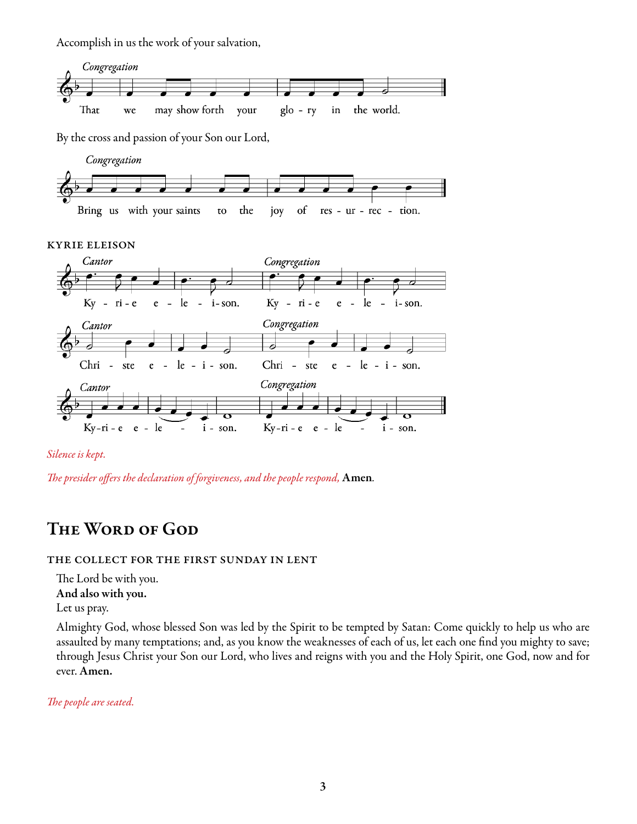Accomplish in us the work of your salvation,



By the cross and passion of your Son our Lord,



kyrie eleison





*The presider offers the declaration of forgiveness, and the people respond,* Amen*.* 

## THE WORD OF GOD

### the collect for the first sunday in lent

The Lord be with you. And also with you. Let us pray.

Almighty God, whose blessed Son was led by the Spirit to be tempted by Satan: Come quickly to help us who are assaulted by many temptations; and, as you know the weaknesses of each of us, let each one find you mighty to save; through Jesus Christ your Son our Lord, who lives and reigns with you and the Holy Spirit, one God, now and for ever. Amen.

*The people are seated.*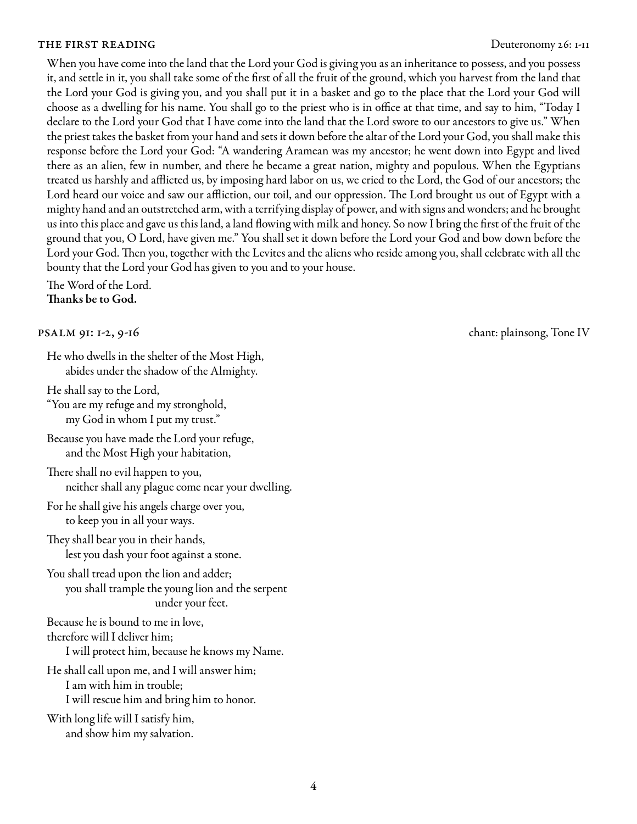### THE FIRST READING **Deuteronomy 26:** 1-11

When you have come into the land that the Lord your God is giving you as an inheritance to possess, and you possess it, and settle in it, you shall take some of the first of all the fruit of the ground, which you harvest from the land that the Lord your God is giving you, and you shall put it in a basket and go to the place that the Lord your God will choose as a dwelling for his name. You shall go to the priest who is in office at that time, and say to him, "Today I declare to the Lord your God that I have come into the land that the Lord swore to our ancestors to give us." When the priest takes the basket from your hand and sets it down before the altar of the Lord your God, you shall make this response before the Lord your God: "A wandering Aramean was my ancestor; he went down into Egypt and lived there as an alien, few in number, and there he became a great nation, mighty and populous. When the Egyptians treated us harshly and afflicted us, by imposing hard labor on us, we cried to the Lord, the God of our ancestors; the Lord heard our voice and saw our affliction, our toil, and our oppression. The Lord brought us out of Egypt with a mighty hand and an outstretched arm, with a terrifying display of power, and with signs and wonders; and he brought us into this place and gave us this land, a land flowing with milk and honey. So now I bring the first of the fruit of the ground that you, O Lord, have given me." You shall set it down before the Lord your God and bow down before the Lord your God. Then you, together with the Levites and the aliens who reside among you, shall celebrate with all the bounty that the Lord your God has given to you and to your house.

The Word of the Lord. Thanks be to God.

He who dwells in the shelter of the Most High, abides under the shadow of the Almighty.

He shall say to the Lord,

"You are my refuge and my stronghold, my God in whom I put my trust."

Because you have made the Lord your refuge, and the Most High your habitation,

There shall no evil happen to you, neither shall any plague come near your dwelling.

For he shall give his angels charge over you, to keep you in all your ways.

They shall bear you in their hands, lest you dash your foot against a stone.

You shall tread upon the lion and adder; you shall trample the young lion and the serpent under your feet.

Because he is bound to me in love,

therefore will I deliver him;

I will protect him, because he knows my Name.

He shall call upon me, and I will answer him; I am with him in trouble; I will rescue him and bring him to honor.

With long life will I satisfy him, and show him my salvation.

psalm 91: 1-2, 9-16 chant: plainsong, Tone IV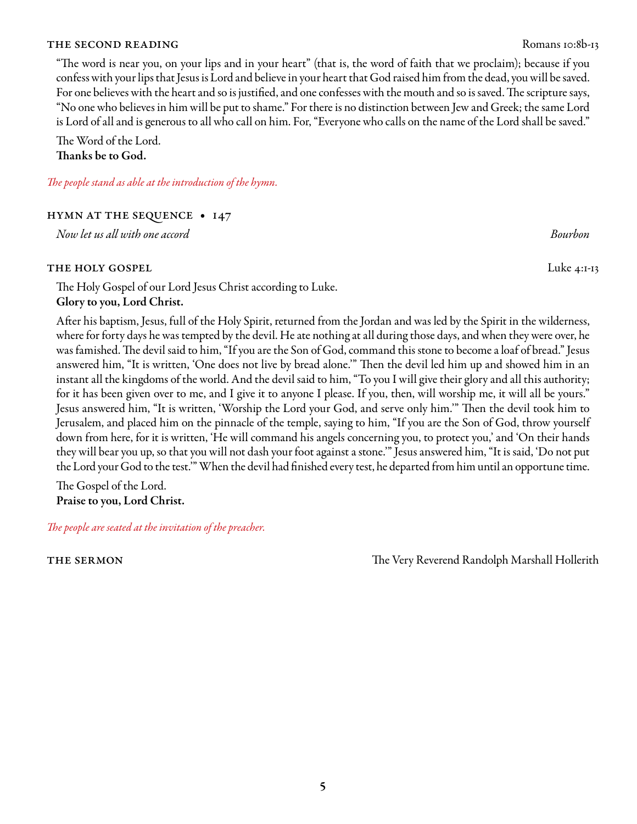### THE SECOND READING ROMAN SECOND READING

"The word is near you, on your lips and in your heart" (that is, the word of faith that we proclaim); because if you confess with your lips that Jesus is Lord and believe in your heart that God raised him from the dead, you will be saved. For one believes with the heart and so is justified, and one confesses with the mouth and so is saved. The scripture says, "No one who believes in him will be put to shame." For there is no distinction between Jew and Greek; the same Lord is Lord of all and is generous to all who call on him. For, "Everyone who calls on the name of the Lord shall be saved."

The Word of the Lord. Thanks be to God.

*The people stand as able at the introduction of the hymn.* 

hymn at the sequence • 147

*Now let us all with one accord Bourbon*

### THE HOLY GOSPEL Luke 4:1-13

The Holy Gospel of our Lord Jesus Christ according to Luke. Glory to you, Lord Christ.

After his baptism, Jesus, full of the Holy Spirit, returned from the Jordan and was led by the Spirit in the wilderness, where for forty days he was tempted by the devil. He ate nothing at all during those days, and when they were over, he was famished. The devil said to him, "If you are the Son of God, command this stone to become a loaf of bread." Jesus answered him, "It is written, 'One does not live by bread alone.'" Then the devil led him up and showed him in an instant all the kingdoms of the world. And the devil said to him, "To you I will give their glory and all this authority; for it has been given over to me, and I give it to anyone I please. If you, then, will worship me, it will all be yours." Jesus answered him, "It is written, 'Worship the Lord your God, and serve only him.'" Then the devil took him to Jerusalem, and placed him on the pinnacle of the temple, saying to him, "If you are the Son of God, throw yourself down from here, for it is written, 'He will command his angels concerning you, to protect you,' and 'On their hands they will bear you up, so that you will not dash your foot against a stone.'" Jesus answered him, "It is said, 'Do not put the Lord your God to the test.'" When the devil had finished every test, he departed from him until an opportune time.

The Gospel of the Lord. Praise to you, Lord Christ.

*The people are seated at the invitation of the preacher.*

the sermon The Very Reverend Randolph Marshall Hollerith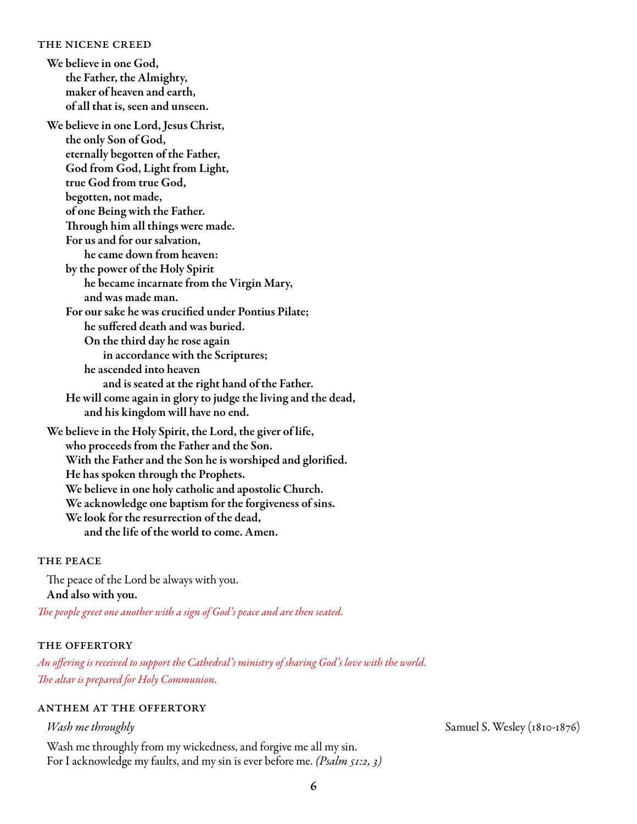#### the nicene creed

We believe in one God, the Father, the Almighty, maker of heaven and earth, of all that is, seen and unseen.

We believe in one Lord, Jesus Christ, the only Son of God, eternally begotten of the Father, God from God, Light from Light, true God from true God, begotten, not made, of one Being with the Father. Through him all things were made. For us and for our salvation, he came down from heaven: by the power of the Holy Spirit he became incarnate from the Virgin Mary, and was made man. For our sake he was crucified under Pontius Pilate; he suffered death and was buried. On the third day he rose again in accordance with the Scriptures; he ascended into heaven and is seated at the right hand of the Father. He will come again in glory to judge the living and the dead, and his kingdom will have no end. We believe in the Holy Spirit, the Lord, the giver of life, who proceeds from the Father and the Son. With the Father and the Son he is worshiped and glorified. He has spoken through the Prophets.

We believe in one holy catholic and apostolic Church.

We acknowledge one baptism for the forgiveness of sins.

We look for the resurrection of the dead,

and the life of the world to come. Amen.

### THE PEACE

The peace of the Lord be always with you. And also with you. *The people greet one another with a sign of God's peace and are then seated.*

### the offertory

*An offering is received to support the Cathedral's ministry of sharing God's love with the world. The altar is prepared for Holy Communion.*

### anthem at the offertory

Wash me throughly from my wickedness, and forgive me all my sin. For I acknowledge my faults, and my sin is ever before me. *(Psalm 51:2, 3)*

*Wash me throughly* **Samuel S. Wesley (1810-1876)**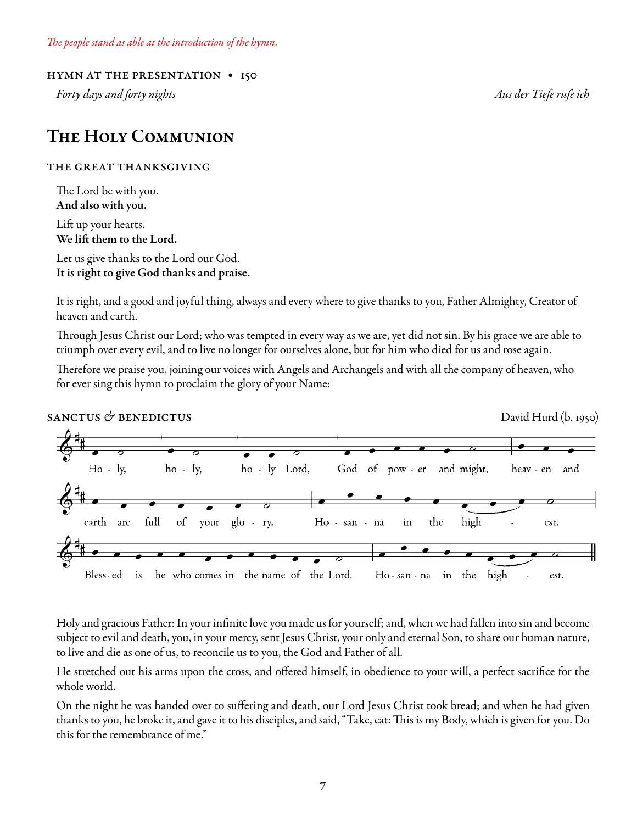*The people stand as able at the introduction of the hymn.* 

### hymn at the presentation • 150

*Forty days and forty nights Aus der Tiefe rufe ich*

### The Holy Communion

### the great thanksgiving

The Lord be with you. And also with you.

Lift up your hearts. We lift them to the Lord.

Let us give thanks to the Lord our God. It is right to give God thanks and praise.

It is right, and a good and joyful thing, always and every where to give thanks to you, Father Almighty, Creator of heaven and earth.

Through Jesus Christ our Lord; who was tempted in every way as we are, yet did not sin. By his grace we are able to triumph over every evil, and to live no longer for ourselves alone, but for him who died for us and rose again.

Therefore we praise you, joining our voices with Angels and Archangels and with all the company of heaven, who for ever sing this hymn to proclaim the glory of your Name:



Holy and gracious Father: In your infinite love you made us for yourself; and, when we had fallen into sin and become subject to evil and death, you, in your mercy, sent Jesus Christ, your only and eternal Son, to share our human nature, to live and die as one of us, to reconcile us to you, the God and Father of all.

He stretched out his arms upon the cross, and offered himself, in obedience to your will, a perfect sacrifice for the whole world.

On the night he was handed over to suffering and death, our Lord Jesus Christ took bread; and when he had given thanks to you, he broke it, and gave it to his disciples, and said, "Take, eat: This is my Body, which is given for you. Do this for the remembrance of me."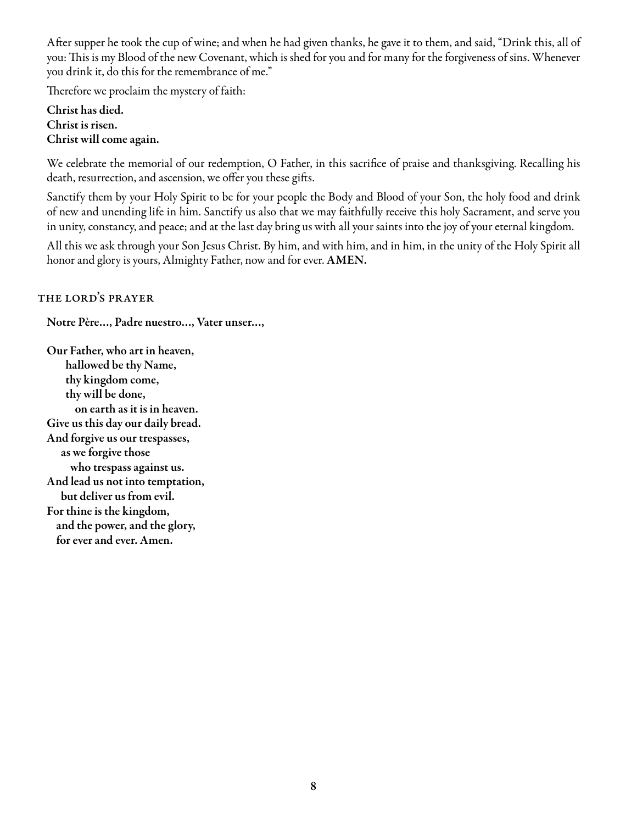After supper he took the cup of wine; and when he had given thanks, he gave it to them, and said, "Drink this, all of you: This is my Blood of the new Covenant, which is shed for you and for many for the forgiveness of sins. Whenever you drink it, do this for the remembrance of me."

Therefore we proclaim the mystery of faith:

Christ has died. Christ is risen. Christ will come again.

We celebrate the memorial of our redemption, O Father, in this sacrifice of praise and thanksgiving. Recalling his death, resurrection, and ascension, we offer you these gifts.

Sanctify them by your Holy Spirit to be for your people the Body and Blood of your Son, the holy food and drink of new and unending life in him. Sanctify us also that we may faithfully receive this holy Sacrament, and serve you in unity, constancy, and peace; and at the last day bring us with all your saints into the joy of your eternal kingdom.

All this we ask through your Son Jesus Christ. By him, and with him, and in him, in the unity of the Holy Spirit all honor and glory is yours, Almighty Father, now and for ever. AMEN.

### the lord's prayer

Notre Père…, Padre nuestro…, Vater unser…,

Our Father, who art in heaven, hallowed be thy Name, thy kingdom come, thy will be done, on earth as it is in heaven. Give us this day our daily bread. And forgive us our trespasses, as we forgive those who trespass against us. And lead us not into temptation, but deliver us from evil. For thine is the kingdom, and the power, and the glory, for ever and ever. Amen.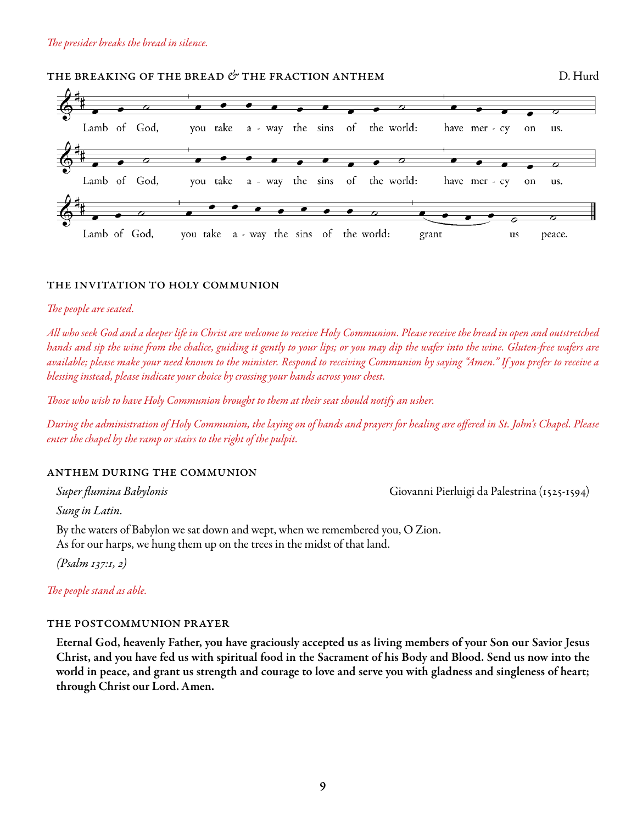### the breaking of the bread *&* the fraction anthem D. Hurd



### the invitation to holy communion

### *The people are seated.*

*All who seek God and a deeper life in Christ are welcome to receive Holy Communion. Please receive the bread in open and outstretched hands and sip the wine from the chalice, guiding it gently to your lips; or you may dip the wafer into the wine. Gluten-free wafers are available; please make your need known to the minister. Respond to receiving Communion by saying "Amen." If you prefer to receive a blessing instead, please indicate your choice by crossing your hands across your chest.* 

*Those who wish to have Holy Communion brought to them at their seat should notify an usher.* 

*During the administration of Holy Communion, the laying on of hands and prayers for healing are offered in St. John's Chapel. Please enter the chapel by the ramp or stairs to the right of the pulpit.*

### anthem during the communion

*Super flumina Babylonis* Giovanni Pierluigi da Palestrina (1525-1594)

*Sung in Latin.* 

By the waters of Babylon we sat down and wept, when we remembered you, O Zion. As for our harps, we hung them up on the trees in the midst of that land.

*(Psalm 137:1, 2)*

*The people stand as able.* 

### the postcommunion prayer

Eternal God, heavenly Father, you have graciously accepted us as living members of your Son our Savior Jesus Christ, and you have fed us with spiritual food in the Sacrament of his Body and Blood. Send us now into the world in peace, and grant us strength and courage to love and serve you with gladness and singleness of heart; through Christ our Lord. Amen.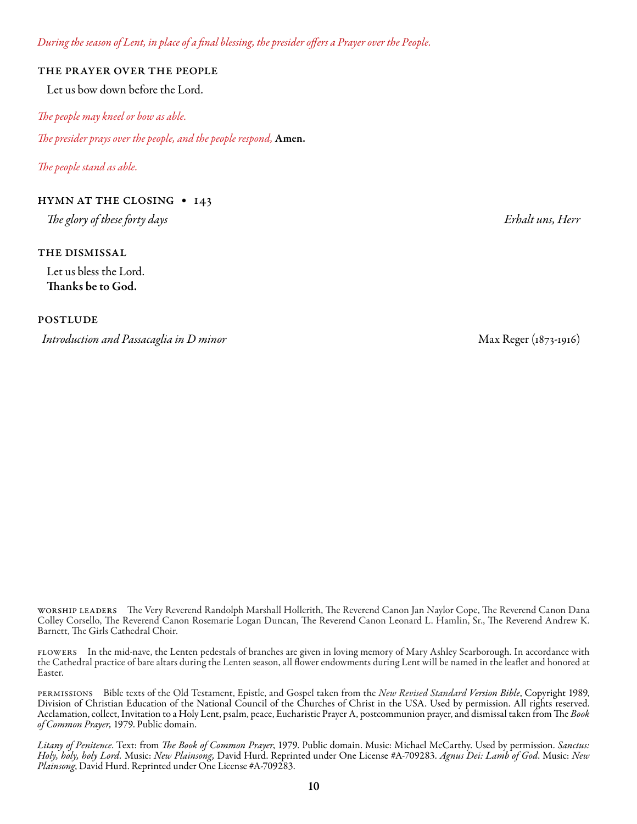*During the season of Lent, in place of a final blessing, the presider offers a Prayer over the People.* 

#### the prayer over the people

Let us bow down before the Lord.

*The people may kneel or bow as able.* 

*The presider prays over the people, and the people respond,* Amen.

*The people stand as able.* 

### hymn at the closing • 143

*The glory of these forty days Erhalt uns, Herr*

### the dismissal

Let us bless the Lord. Thanks be to God.

postlude

*Introduction and Passacaglia in D minor* Max Reger (1873-1916)

worship leaders The Very Reverend Randolph Marshall Hollerith, The Reverend Canon Jan Naylor Cope, The Reverend Canon Dana Colley Corsello, The Reverend Canon Rosemarie Logan Duncan, The Reverend Canon Leonard L. Hamlin, Sr., The Reverend Andrew K. Barnett, The Girls Cathedral Choir.

flowers In the mid-nave, the Lenten pedestals of branches are given in loving memory of Mary Ashley Scarborough. In accordance with the Cathedral practice of bare altars during the Lenten season, all flower endowments during Lent will be named in the leaflet and honored at Easter.

permissions Bible texts of the Old Testament, Epistle, and Gospel taken from the *New Revised Standard Version Bible*, Copyright 1989, Division of Christian Education of the National Council of the Churches of Christ in the USA. Used by permission. All rights reserved. Acclamation, collect, Invitation to a Holy Lent, psalm, peace, Eucharistic Prayer A, postcommunion prayer, and dismissal taken from The *Book of Common Prayer,* 1979. Public domain.

*Litany of Penitence*. Text: from *The Book of Common Prayer*, 1979. Public domain. Music: Michael McCarthy. Used by permission. *Sanctus: Holy, holy, holy Lord.* Music: *New Plainsong,* David Hurd. Reprinted under One License #A-709283. *Agnus Dei: Lamb of God*. Music: *New Plainsong*, David Hurd. Reprinted under One License #A-709283.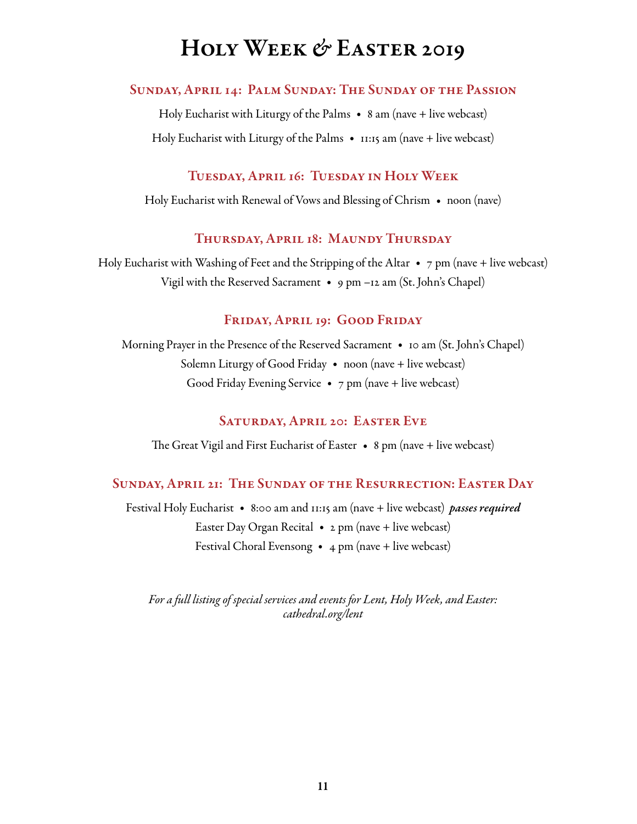# Holy Week *&* Easter 2019

### Sunday, April 14: Palm Sunday: The Sunday of the Passion

Holy Eucharist with Liturgy of the Palms  $\bullet$  8 am (nave + live webcast) Holy Eucharist with Liturgy of the Palms • 11:15 am (nave + live webcast)

### Tuesday, April 16: Tuesday in Holy Week

Holy Eucharist with Renewal of Vows and Blessing of Chrism • noon (nave)

### Thursday, April 18: Maundy Thursday

Holy Eucharist with Washing of Feet and the Stripping of the Altar  $\bullet$  7 pm (nave + live webcast) Vigil with the Reserved Sacrament • 9 pm –12 am (St. John's Chapel)

### Friday, April 19: Good Friday

Morning Prayer in the Presence of the Reserved Sacrament • 10 am (St. John's Chapel) Solemn Liturgy of Good Friday • noon (nave + live webcast) Good Friday Evening Service  $\bullet$  7 pm (nave + live webcast)

### Saturday, April 20: Easter Eve

The Great Vigil and First Eucharist of Easter • 8 pm (nave + live webcast)

### Sunday, April 21: The Sunday of the Resurrection: Easter Day

Festival Holy Eucharist • 8:00 am and 11:15 am (nave + live webcast) *passes required* Easter Day Organ Recital  $\bullet$  2 pm (nave + live webcast) Festival Choral Evensong •  $4 \text{ pm}$  (nave + live webcast)

*For a full listing of special services and events for Lent, Holy Week, and Easter: cathedral.org/lent*